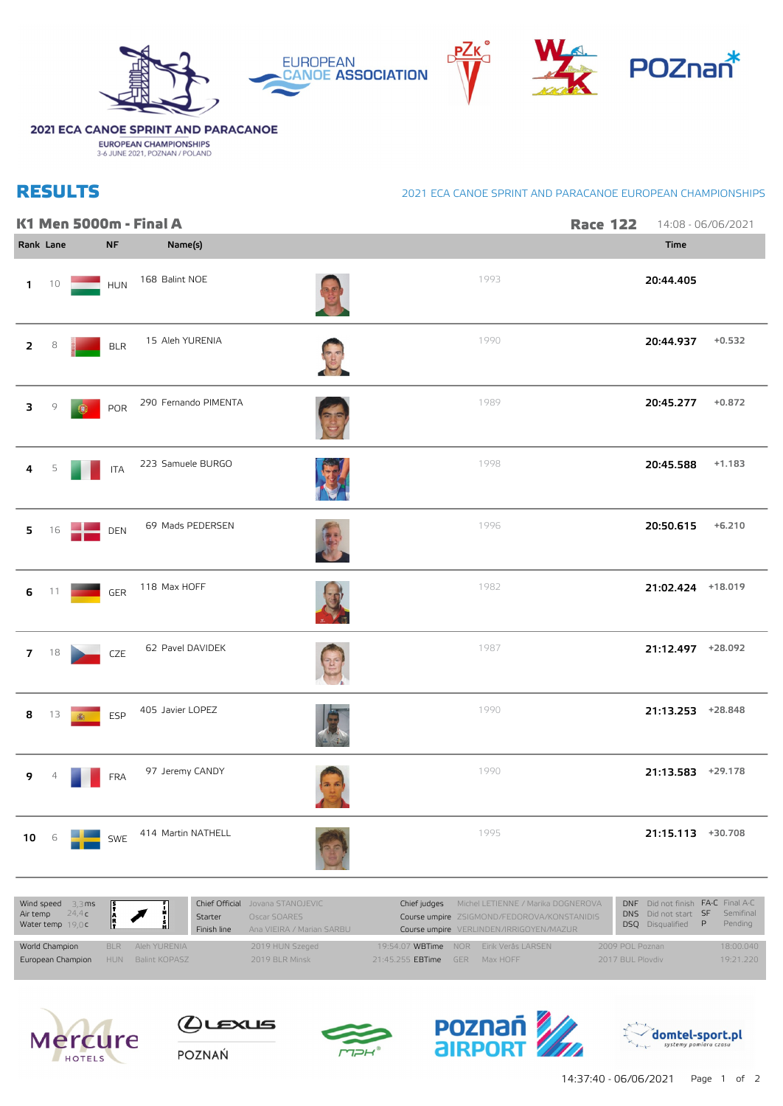

## 2021 ECA CANOE SPRINT AND PARACANOE

**EUROPEAN CHAMPIONSHIPS**<br>3-6 JUNE 2021, POZNAN / POLAND

## **RESULTS**

## 2021 ECA CANOE SPRINT AND PARACANOE EUROPEAN CHAMPIONSHIPS

|                |                          |    |            | K1 Men 5000m - Final A | <b>Race 122</b> | 14:08 - 06/06/2021 |                   |          |
|----------------|--------------------------|----|------------|------------------------|-----------------|--------------------|-------------------|----------|
|                | Rank Lane                |    | $\sf NF$   | Name(s)                |                 |                    | Time              |          |
| $\mathbf{1}$   | 10                       |    | HUN        | 168 Balint NOE         | 1993            |                    | 20:44.405         |          |
| $\overline{2}$ | 8                        |    | BLR        | 15 Aleh YURENIA        | 1990            |                    | 20:44.937         | $+0.532$ |
| 3              | 9                        | 6. | POR        | 290 Fernando PIMENTA   | 1989            |                    | 20:45.277         | $+0.872$ |
| 4              | 5                        |    | <b>ITA</b> | 223 Samuele BURGO      | 1998            |                    | 20:45.588         | $+1.183$ |
| 5              | 16                       |    | DEN        | 69 Mads PEDERSEN       | 1996            |                    | 20:50.615         | $+6.210$ |
| 6              | 11                       |    | GER        | 118 Max HOFF           | 1982            |                    | 21:02.424 +18.019 |          |
| 7 <sup>7</sup> | 18                       |    | CZE        | 62 Pavel DAVIDEK       | 1987            |                    | 21:12.497 +28.092 |          |
| 8              | 13                       | 4  | ESP        | 405 Javier LOPEZ       | 1990            |                    | 21:13.253 +28.848 |          |
| 9              | $\overline{\mathcal{L}}$ |    | <b>FRA</b> | 97 Jeremy CANDY        | 1990            |                    | 21:13.583 +29.178 |          |
| 10             | 6                        |    | SWE        | 414 Martin NATHELL     | 1995            |                    | 21:15.113 +30.708 |          |
|                |                          |    |            |                        |                 |                    |                   |          |

| Wind speed $3,3 \text{ ms}$<br>Air temp $24,4 \text{ c}$<br>Water temp $19,0 \text{ c}$ | $\mathbb{E}$ $\mathbb{Z}$ | Starter<br>Finish line | Chief Official Jovana STANOJEVIC<br>Oscar SOARES<br>Ana VIEIRA / Marian SARBU | Chief judges            | Michel LETIENNE / Marika DOGNEROVA<br>Course umpire ZSIGMOND/FEDOROVA/KONSTANIDIS<br>Course umpire VERLINDEN/IRRIGOYEN/MAZUR |                  | DNF Did not finish FA-C Final A-C<br>DNS Did not start SF Semifinal<br><b>DSQ</b> Disqualified <b>P</b> | Pending   |
|-----------------------------------------------------------------------------------------|---------------------------|------------------------|-------------------------------------------------------------------------------|-------------------------|------------------------------------------------------------------------------------------------------------------------------|------------------|---------------------------------------------------------------------------------------------------------|-----------|
| World Champion                                                                          | BLR Aleh YURENIA          |                        | 2019 HUN Szeged                                                               |                         | 19:54.07 WBTime NOR Eirik Verås LARSEN                                                                                       | 2009 POL Poznan  |                                                                                                         | 18:00.040 |
| European Champion                                                                       | HUN Balint KOPASZ         |                        | 2019 BLR Minsk                                                                | 21:45.255 <b>EBTime</b> | GFR Max HOFF                                                                                                                 | 2017 BUL Ploydiv |                                                                                                         | 19:21.220 |